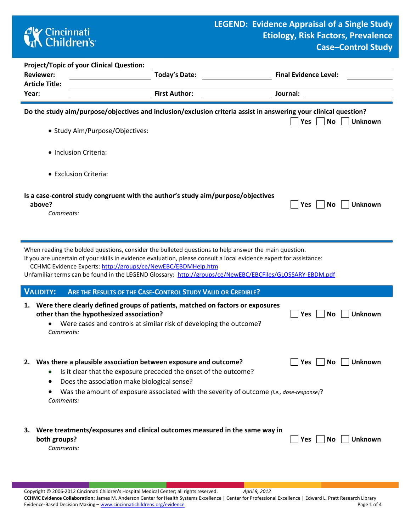# **AY** Cincinnati<br> **Children's**

| <b>Project/Topic of your Clinical Question:</b> |                                                                                                                  |                              |
|-------------------------------------------------|------------------------------------------------------------------------------------------------------------------|------------------------------|
| <b>Reviewer:</b>                                | <b>Today's Date:</b>                                                                                             | <b>Final Evidence Level:</b> |
| <b>Article Title:</b>                           |                                                                                                                  |                              |
| Year:                                           | <b>First Author:</b>                                                                                             | Journal:                     |
|                                                 |                                                                                                                  |                              |
|                                                 | Do the study aim/purpose/objectives and inclusion/exclusion criteria assist in answering your clinical question? | Yes <br>Unknown<br><b>No</b> |
| • Study Aim/Purpose/Objectives:                 |                                                                                                                  |                              |

- Inclusion Criteria:
- Exclusion Criteria:

## **Is a case-control study congruent with the author's study aim/purpose/objectives above? Yes No Unknown**

*Comments:* 

When reading the bolded questions, consider the bulleted questions to help answer the main question.

If you are uncertain of your skills in evidence evaluation, please consult a local evidence expert for assistance:

CCHMC Evidence Experts:<http://groups/ce/NewEBC/EBDMHelp.htm>

Unfamiliar terms can be found in the LEGEND Glossary: <http://groups/ce/NewEBC/EBCFiles/GLOSSARY-EBDM.pdf>

| <b>VALIDITY: ARE THE RESULTS OF THE CASE-CONTROL STUDY VALID OR CREDIBLE?</b> |  |
|-------------------------------------------------------------------------------|--|
|                                                                               |  |

| 1. Were there clearly defined groups of patients, matched on factors or exposures |                                     |
|-----------------------------------------------------------------------------------|-------------------------------------|
| other than the hypothesized association?                                          | $\Box$ Yes $\Box$ No $\Box$ Unknown |
| • Were cases and controls at similar risk of developing the outcome?              |                                     |
| Comments:                                                                         |                                     |

#### **2.** Was there a plausible association between exposure and outcome?  $\Box$  Yes  $\Box$  No  $\Box$  Unknown

- Is it clear that the exposure preceded the onset of the outcome?
- Does the association make biological sense?
- Was the amount of exposure associated with the severity of outcome *(i.e., dose-response)*? *Comments:*

| 3. Were treatments/exposures and clinical outcomes measured in the same way in |                                     |
|--------------------------------------------------------------------------------|-------------------------------------|
| both groups?                                                                   | $\Box$ Yes $\Box$ No $\Box$ Unknown |
| Comments:                                                                      |                                     |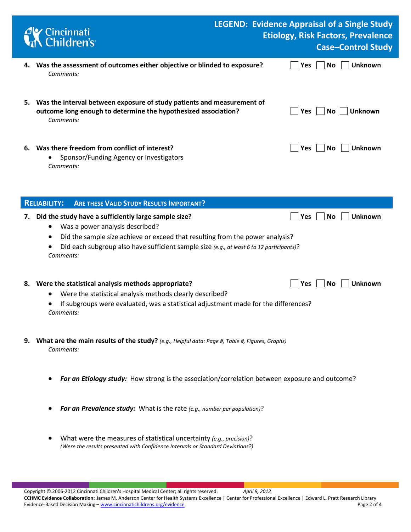|    | Cincinnati<br>A Children's                                                                                                                                                                                                                                                                                                |  |            |           | <b>LEGEND: Evidence Appraisal of a Single Study</b><br><b>Etiology, Risk Factors, Prevalence</b><br><b>Case-Control Study</b> |
|----|---------------------------------------------------------------------------------------------------------------------------------------------------------------------------------------------------------------------------------------------------------------------------------------------------------------------------|--|------------|-----------|-------------------------------------------------------------------------------------------------------------------------------|
|    | 4. Was the assessment of outcomes either objective or blinded to exposure?<br>Comments:                                                                                                                                                                                                                                   |  | Yes        | No        | <b>Unknown</b>                                                                                                                |
|    | 5. Was the interval between exposure of study patients and measurement of<br>outcome long enough to determine the hypothesized association?<br>Comments:                                                                                                                                                                  |  | <b>Yes</b> | No.       | Unknown                                                                                                                       |
|    | 6. Was there freedom from conflict of interest?<br>Sponsor/Funding Agency or Investigators<br>Comments:                                                                                                                                                                                                                   |  | Yes        | No        | <b>Unknown</b>                                                                                                                |
|    | <b>ARE THESE VALID STUDY RESULTS IMPORTANT?</b><br><b>RELIABILITY:</b>                                                                                                                                                                                                                                                    |  |            |           |                                                                                                                               |
| 7. | Did the study have a sufficiently large sample size?<br>Was a power analysis described?<br>$\bullet$<br>Did the sample size achieve or exceed that resulting from the power analysis?<br>$\bullet$<br>Did each subgroup also have sufficient sample size (e.g., at least 6 to 12 participants)?<br>$\bullet$<br>Comments: |  | Yes        | <b>No</b> | <b>Unknown</b>                                                                                                                |
| 8. | Were the statistical analysis methods appropriate?<br>Were the statistical analysis methods clearly described?<br>If subgroups were evaluated, was a statistical adjustment made for the differences?<br>Comments:                                                                                                        |  | Yes        | No        | <b>Unknown</b>                                                                                                                |
|    | 9. What are the main results of the study? (e.g., Helpful data: Page #, Table #, Figures, Graphs)<br>Comments:                                                                                                                                                                                                            |  |            |           |                                                                                                                               |

- *For an Etiology study:* How strong is the association/correlation between exposure and outcome?
- *For an Prevalence study:* What is the rate *(e.g., number per population)*?
- What were the measures of statistical uncertainty *(e.g., precision)*? *(Were the results presented with Confidence Intervals or Standard Deviations?)*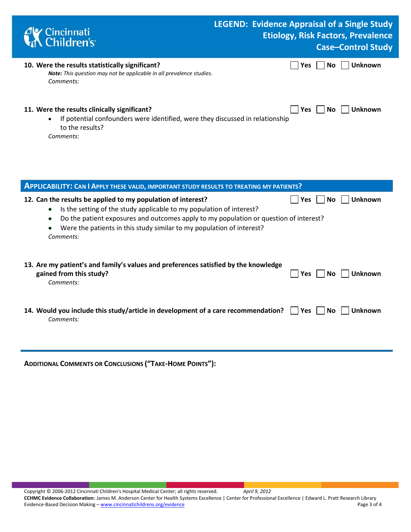| <b>C</b> Cincinnati<br><b>Children's</b>                                                                                                                                   | <b>LEGEND: Evidence Appraisal of a Single Study</b><br><b>Etiology, Risk Factors, Prevalence</b><br><b>Case-Control Study</b> |                       |  |  |  |  |  |
|----------------------------------------------------------------------------------------------------------------------------------------------------------------------------|-------------------------------------------------------------------------------------------------------------------------------|-----------------------|--|--|--|--|--|
| 10. Were the results statistically significant?<br><b>Note:</b> This question may not be applicable in all prevalence studies.<br>Comments:                                | <b>Yes</b>                                                                                                                    | <b>Unknown</b><br>No. |  |  |  |  |  |
| 11. Were the results clinically significant?<br>If potential confounders were identified, were they discussed in relationship<br>$\bullet$<br>to the results?<br>Comments: | <b>Yes</b>                                                                                                                    | Unknown<br>No l       |  |  |  |  |  |

| <b>APPLICABILITY: CAN I APPLY THESE VALID, IMPORTANT STUDY RESULTS TO TREATING MY PATIENTS?</b>                                                                                                                                                                                                                                                    |                                |  |  |  |  |  |  |  |
|----------------------------------------------------------------------------------------------------------------------------------------------------------------------------------------------------------------------------------------------------------------------------------------------------------------------------------------------------|--------------------------------|--|--|--|--|--|--|--|
| 12. Can the results be applied to my population of interest?<br>Is the setting of the study applicable to my population of interest?<br>$\bullet$<br>Do the patient exposures and outcomes apply to my population or question of interest?<br>$\bullet$<br>Were the patients in this study similar to my population of interest?<br>٠<br>Comments: | <b>Unknown</b><br>Yes<br>No.   |  |  |  |  |  |  |  |
| 13. Are my patient's and family's values and preferences satisfied by the knowledge<br>gained from this study?<br>Comments:                                                                                                                                                                                                                        | Unknown<br>Yes<br>No.          |  |  |  |  |  |  |  |
| 14. Would you include this study/article in development of a care recommendation?<br>Comments:                                                                                                                                                                                                                                                     | Yes l<br><b>Unknown</b><br>No. |  |  |  |  |  |  |  |

**ADDITIONAL COMMENTS OR CONCLUSIONS ("TAKE-HOME POINTS"):**